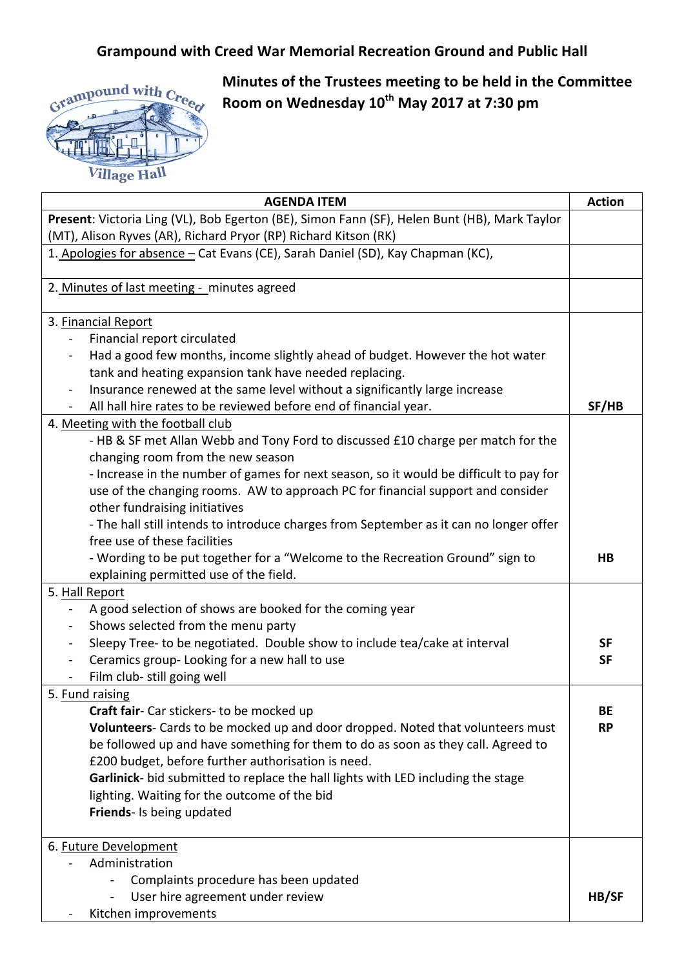## **Grampound with Creed War Memorial Recreation Ground and Public Hall**



**Minutes of the Trustees meeting to be held in the Committee Room on Wednesday 10th May 2017 at 7:30 pm**

| <b>AGENDA ITEM</b>                                                                                                          | <b>Action</b>          |
|-----------------------------------------------------------------------------------------------------------------------------|------------------------|
| Present: Victoria Ling (VL), Bob Egerton (BE), Simon Fann (SF), Helen Bunt (HB), Mark Taylor                                |                        |
| (MT), Alison Ryves (AR), Richard Pryor (RP) Richard Kitson (RK)                                                             |                        |
| 1. Apologies for absence – Cat Evans (CE), Sarah Daniel (SD), Kay Chapman (KC),                                             |                        |
| 2. Minutes of last meeting - minutes agreed                                                                                 |                        |
| 3. Financial Report                                                                                                         |                        |
| Financial report circulated<br>$\blacksquare$                                                                               |                        |
| Had a good few months, income slightly ahead of budget. However the hot water<br>$\blacksquare$                             |                        |
| tank and heating expansion tank have needed replacing.                                                                      |                        |
| Insurance renewed at the same level without a significantly large increase                                                  |                        |
| All hall hire rates to be reviewed before end of financial year.                                                            | SF/HB                  |
| 4. Meeting with the football club                                                                                           |                        |
| - HB & SF met Allan Webb and Tony Ford to discussed £10 charge per match for the                                            |                        |
| changing room from the new season                                                                                           |                        |
| - Increase in the number of games for next season, so it would be difficult to pay for                                      |                        |
| use of the changing rooms. AW to approach PC for financial support and consider                                             |                        |
| other fundraising initiatives                                                                                               |                        |
| - The hall still intends to introduce charges from September as it can no longer offer                                      |                        |
| free use of these facilities                                                                                                |                        |
| - Wording to be put together for a "Welcome to the Recreation Ground" sign to                                               | HВ                     |
| explaining permitted use of the field.                                                                                      |                        |
| 5. Hall Report                                                                                                              |                        |
| A good selection of shows are booked for the coming year                                                                    |                        |
| Shows selected from the menu party<br>$\overline{\phantom{a}}$                                                              |                        |
| Sleepy Tree- to be negotiated. Double show to include tea/cake at interval<br>$\blacksquare$                                | <b>SF</b>              |
| Ceramics group-Looking for a new hall to use                                                                                | <b>SF</b>              |
| Film club- still going well                                                                                                 |                        |
| 5. Fund raising                                                                                                             |                        |
| Craft fair- Car stickers- to be mocked up<br>Volunteers- Cards to be mocked up and door dropped. Noted that volunteers must | <b>BE</b><br><b>RP</b> |
| be followed up and have something for them to do as soon as they call. Agreed to                                            |                        |
| £200 budget, before further authorisation is need.                                                                          |                        |
| Garlinick- bid submitted to replace the hall lights with LED including the stage                                            |                        |
| lighting. Waiting for the outcome of the bid                                                                                |                        |
| Friends- Is being updated                                                                                                   |                        |
|                                                                                                                             |                        |
| 6. Future Development                                                                                                       |                        |
| Administration                                                                                                              |                        |
| Complaints procedure has been updated                                                                                       |                        |
| User hire agreement under review                                                                                            | HB/SF                  |
| Kitchen improvements                                                                                                        |                        |